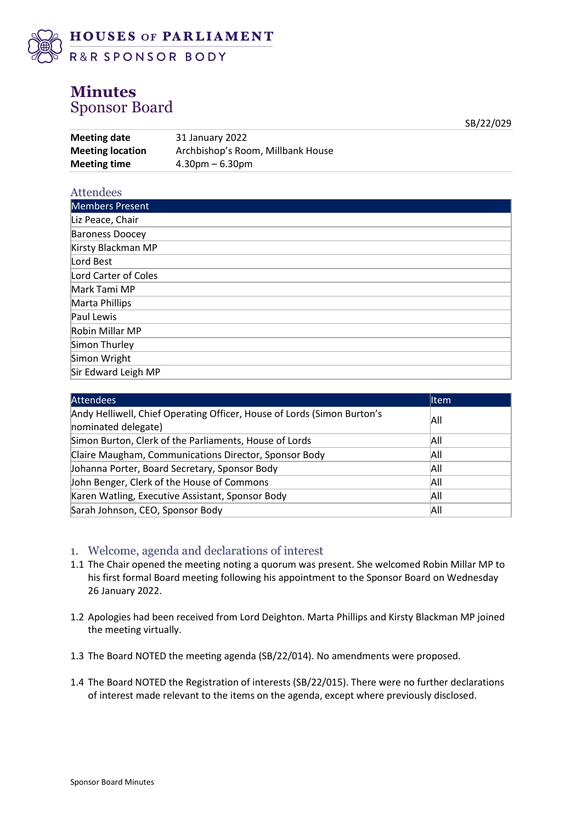

## **Minutes** Sponsor Board

**Meeting date** 31 January 2022 **Meeting location** Archbishop's Room, Millbank House **Meeting time** 4.30pm – 6.30pm

#### Attendees

| Members Present        |
|------------------------|
| Liz Peace, Chair       |
| <b>Baroness Doocey</b> |
| Kirsty Blackman MP     |
| Lord Best              |
| Lord Carter of Coles   |
| Mark Tami MP           |
| Marta Phillips         |
| Paul Lewis             |
| Robin Millar MP        |
| Simon Thurley          |
| Simon Wright           |
| Sir Edward Leigh MP    |

SB/22/029

| <b>Attendees</b>                                                                               | <b>I</b> tem |
|------------------------------------------------------------------------------------------------|--------------|
| Andy Helliwell, Chief Operating Officer, House of Lords (Simon Burton's<br>nominated delegate) | All          |
| Simon Burton, Clerk of the Parliaments, House of Lords                                         | All          |
| Claire Maugham, Communications Director, Sponsor Body                                          | All          |
| Johanna Porter, Board Secretary, Sponsor Body                                                  | All          |
| John Benger, Clerk of the House of Commons                                                     | All          |
| Karen Watling, Executive Assistant, Sponsor Body                                               | Αll          |
| Sarah Johnson, CEO, Sponsor Body                                                               | All          |

#### 1. Welcome, agenda and declarations of interest

- 1.1 The Chair opened the meeting noting a quorum was present. She welcomed Robin Millar MP to his first formal Board meeting following his appointment to the Sponsor Board on Wednesday 26 January 2022.
- 1.2 Apologies had been received from Lord Deighton. Marta Phillips and Kirsty Blackman MP joined the meeting virtually.
- 1.3 The Board NOTED the meeting agenda (SB/22/014). No amendments were proposed.
- 1.4 The Board NOTED the Registration of interests (SB/22/015). There were no further declarations of interest made relevant to the items on the agenda, except where previously disclosed.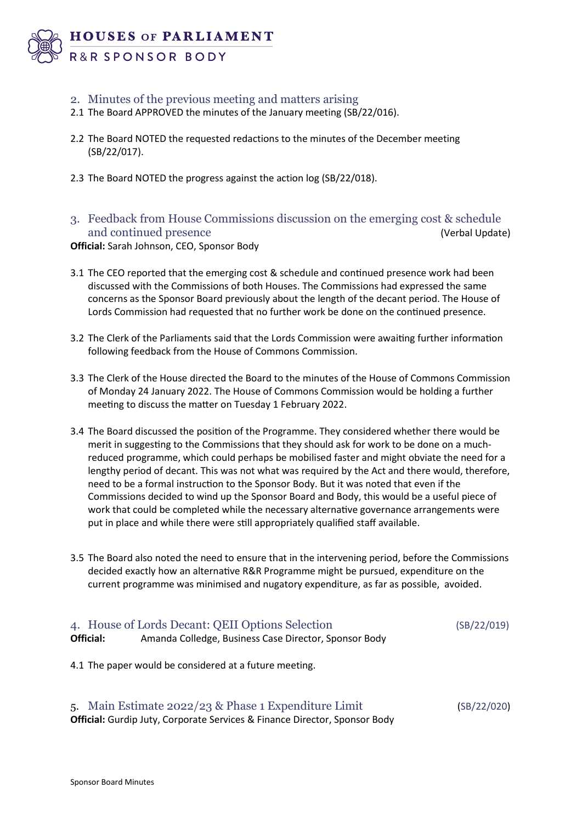

### 2. Minutes of the previous meeting and matters arising

- 2.1 The Board APPROVED the minutes of the January meeting (SB/22/016).
- 2.2 The Board NOTED the requested redactions to the minutes of the December meeting (SB/22/017).
- 2.3 The Board NOTED the progress against the action log (SB/22/018).
- 3. Feedback from House Commissions discussion on the emerging cost & schedule and continued presence (Verbal Update)

**Official:** Sarah Johnson, CEO, Sponsor Body

- 3.1 The CEO reported that the emerging cost & schedule and continued presence work had been discussed with the Commissions of both Houses. The Commissions had expressed the same concerns as the Sponsor Board previously about the length of the decant period. The House of Lords Commission had requested that no further work be done on the continued presence.
- 3.2 The Clerk of the Parliaments said that the Lords Commission were awaiting further information following feedback from the House of Commons Commission.
- 3.3 The Clerk of the House directed the Board to the minutes of the House of Commons Commission of Monday 24 January 2022. The House of Commons Commission would be holding a further meeting to discuss the matter on Tuesday 1 February 2022.
- 3.4 The Board discussed the position of the Programme. They considered whether there would be merit in suggesting to the Commissions that they should ask for work to be done on a muchreduced programme, which could perhaps be mobilised faster and might obviate the need for a lengthy period of decant. This was not what was required by the Act and there would, therefore, need to be a formal instruction to the Sponsor Body. But it was noted that even if the Commissions decided to wind up the Sponsor Board and Body, this would be a useful piece of work that could be completed while the necessary alternative governance arrangements were put in place and while there were still appropriately qualified staff available.
- 3.5 The Board also noted the need to ensure that in the intervening period, before the Commissions decided exactly how an alternative R&R Programme might be pursued, expenditure on the current programme was minimised and nugatory expenditure, as far as possible, avoided.

# 4. House of Lords Decant: QEII Options Selection (SB/22/019) **Official:** Amanda Colledge, Business Case Director, Sponsor Body

4.1 The paper would be considered at a future meeting.

5. Main Estimate 2022/23 & Phase 1 Expenditure Limit (SB/22/020) **Official:** Gurdip Juty, Corporate Services & Finance Director, Sponsor Body